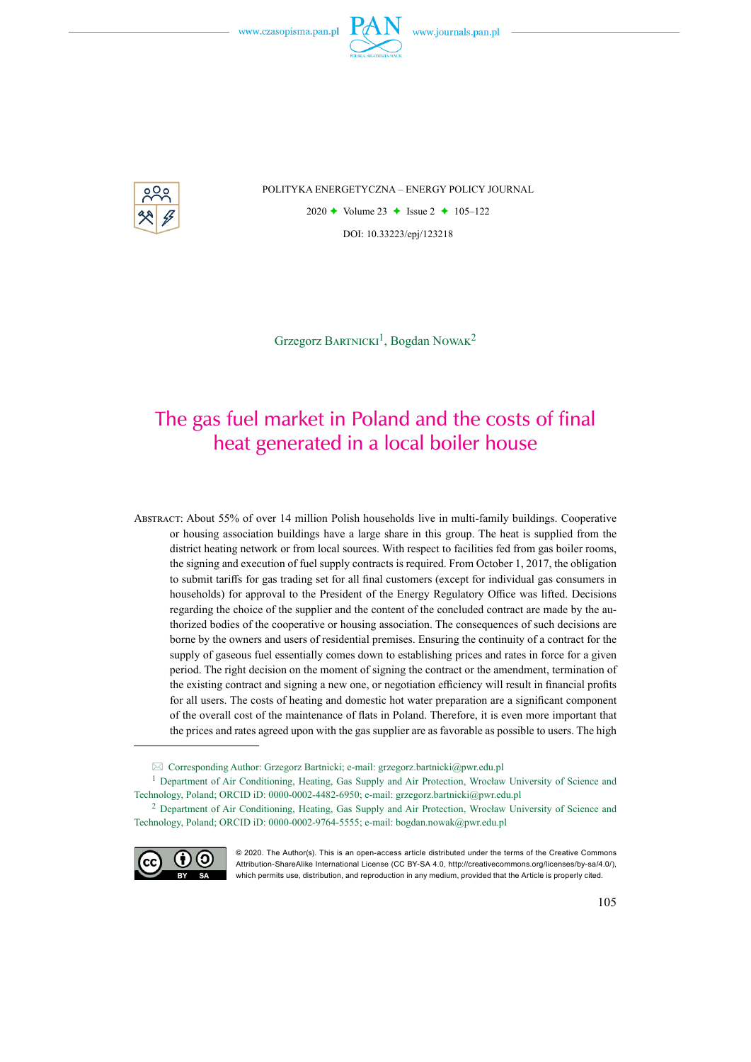

POLITYKA ENERGETYCZNA – ENERGY POLICY JOURNAL

2020  $\rightarrow$  Volume 23  $\rightarrow$  Issue 2  $\rightarrow$  105–122 DOI: 10.33223/epj/123218

Grzegorz BARTNICKI<sup>1</sup>, Bogdan NOWAK<sup>2</sup>

# The gas fuel market in Poland and the costs of final heat generated in a local boiler house

Abstract: About 55% of over 14 million Polish households live in multi-family buildings. Cooperative or housing association buildings have a large share in this group. The heat is supplied from the district heating network or from local sources. With respect to facilities fed from gas boiler rooms, the signing and execution of fuel supply contracts is required. From October 1, 2017, the obligation to submit tariffs for gas trading set for all final customers (except for individual gas consumers in households) for approval to the President of the Energy Regulatory Office was lifted. Decisions regarding the choice of the supplier and the content of the concluded contract are made by the authorized bodies of the cooperative or housing association. The consequences of such decisions are borne by the owners and users of residential premises. Ensuring the continuity of a contract for the supply of gaseous fuel essentially comes down to establishing prices and rates in force for a given period. The right decision on the moment of signing the contract or the amendment, termination of the existing contract and signing a new one, or negotiation efficiency will result in financial profits for all users. The costs of heating and domestic hot water preparation are a significant component of the overall cost of the maintenance of flats in Poland. Therefore, it is even more important that the prices and rates agreed upon with the gas supplier are as favorable as possible to users. The high

<sup>2</sup> Department of Air Conditioning, Heating, Gas Supply and Air Protection, Wrocław University of Science and Technology, Poland; ORCID iD: 0000-0002-9764-5555; e-mail: bogdan.nowak@pwr.edu.pl



<sup>© 2020.</sup> The Author(s). This is an open-access article distributed under the terms of the Creative Commons Attribution-ShareAlike International License (CC BY-SA 4.0, http://creativecommons.org/licenses/by-sa/4.0/), which permits use, distribution, and reproduction in any medium, provided that the Article is properly cited.

 $\boxtimes$  Corresponding Author: Grzegorz Bartnicki; e-mail: grzegorz.bartnicki@pwr.edu.pl

<sup>&</sup>lt;sup>1</sup> Department of Air Conditioning, Heating, Gas Supply and Air Protection, Wrocław University of Science and Technology, Poland; ORCID iD: 0000-0002-4482-6950; e-mail: grzegorz.bartnicki@pwr.edu.pl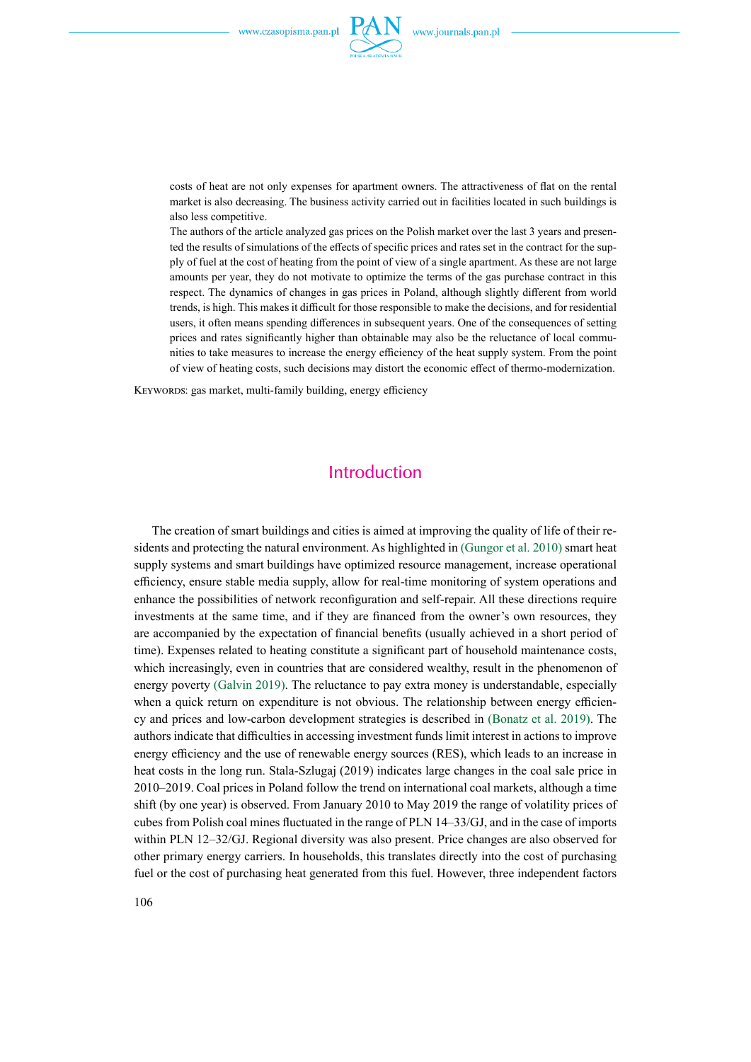

costs of heat are not only expenses for apartment owners. The attractiveness of flat on the rental market is also decreasing. The business activity carried out in facilities located in such buildings is also less competitive.

The authors of the article analyzed gas prices on the Polish market over the last 3 years and presented the results of simulations of the effects of specific prices and rates set in the contract for the supply of fuel at the cost of heating from the point of view of a single apartment. As these are not large amounts per year, they do not motivate to optimize the terms of the gas purchase contract in this respect. The dynamics of changes in gas prices in Poland, although slightly different from world trends, is high. This makes it difficult for those responsible to make the decisions, and for residential users, it often means spending differences in subsequent years. One of the consequences of setting prices and rates significantly higher than obtainable may also be the reluctance of local communities to take measures to increase the energy efficiency of the heat supply system. From the point of view of heating costs, such decisions may distort the economic effect of thermo-modernization.

KEYWORDS: gas market, multi-family building, energy efficiency

### Introduction

The creation of smart buildings and cities is aimed at improving the quality of life of their residents and protecting the natural environment. As highlighted in (Gungor et al. 2010) smart heat supply systems and smart buildings have optimized resource management, increase operational efficiency, ensure stable media supply, allow for real-time monitoring of system operations and enhance the possibilities of network reconfiguration and self-repair. All these directions require investments at the same time, and if they are financed from the owner's own resources, they are accompanied by the expectation of financial benefits (usually achieved in a short period of time). Expenses related to heating constitute a significant part of household maintenance costs, which increasingly, even in countries that are considered wealthy, result in the phenomenon of energy poverty (Galvin 2019). The reluctance to pay extra money is understandable, especially when a quick return on expenditure is not obvious. The relationship between energy efficiency and prices and low-carbon development strategies is described in (Bonatz et al. 2019). The authors indicate that difficulties in accessing investment funds limit interest in actions to improve energy efficiency and the use of renewable energy sources (RES), which leads to an increase in heat costs in the long run. Stala-Szlugaj (2019) indicates large changes in the coal sale price in 2010–2019. Coal prices in Poland follow the trend on international coal markets, although a time shift (by one year) is observed. From January 2010 to May 2019 the range of volatility prices of cubes from Polish coal mines fluctuated in the range of PLN 14–33/GJ, and in the case of imports within PLN 12–32/GJ. Regional diversity was also present. Price changes are also observed for other primary energy carriers. In households, this translates directly into the cost of purchasing fuel or the cost of purchasing heat generated from this fuel. However, three independent factors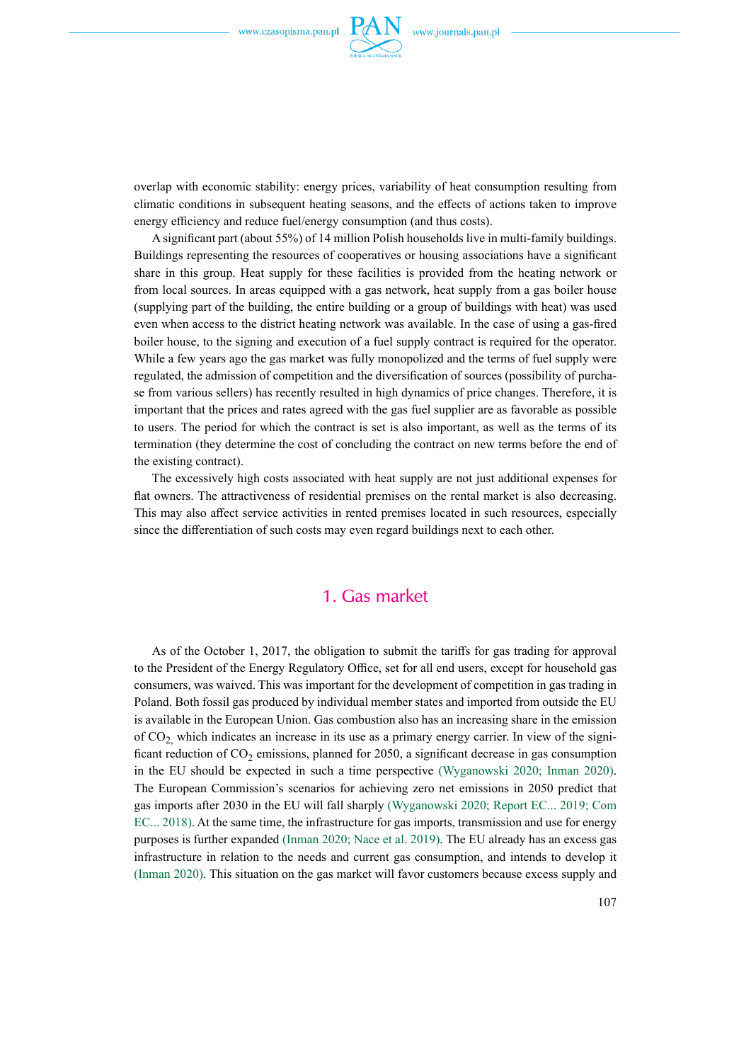

overlap with economic stability: energy prices, variability of heat consumption resulting from climatic conditions in subsequent heating seasons, and the effects of actions taken to improve energy efficiency and reduce fuel/energy consumption (and thus costs).

A significant part (about 55%) of 14 million Polish households live in multi-family buildings. Buildings representing the resources of cooperatives or housing associations have a significant share in this group. Heat supply for these facilities is provided from the heating network or from local sources. In areas equipped with a gas network, heat supply from a gas boiler house (supplying part of the building, the entire building or a group of buildings with heat) was used even when access to the district heating network was available. In the case of using a gas-fired boiler house, to the signing and execution of a fuel supply contract is required for the operator. While a few years ago the gas market was fully monopolized and the terms of fuel supply were regulated, the admission of competition and the diversification of sources (possibility of purchase from various sellers) has recently resulted in high dynamics of price changes. Therefore, it is important that the prices and rates agreed with the gas fuel supplier are as favorable as possible to users. The period for which the contract is set is also important, as well as the terms of its termination (they determine the cost of concluding the contract on new terms before the end of the existing contract).

The excessively high costs associated with heat supply are not just additional expenses for flat owners. The attractiveness of residential premises on the rental market is also decreasing. This may also affect service activities in rented premises located in such resources, especially since the differentiation of such costs may even regard buildings next to each other.

#### 1. Gas market

As of the October 1, 2017, the obligation to submit the tariffs for gas trading for approval to the President of the Energy Regulatory Office, set for all end users, except for household gas consumers, was waived. This was important for the development of competition in gas trading in Poland. Both fossil gas produced by individual member states and imported from outside the EU is available in the European Union. Gas combustion also has an increasing share in the emission of  $CO<sub>2</sub>$  which indicates an increase in its use as a primary energy carrier. In view of the significant reduction of  $CO<sub>2</sub>$  emissions, planned for 2050, a significant decrease in gas consumption in the EU should be expected in such a time perspective (Wyganowski 2020; Inman 2020). The European Commission's scenarios for achieving zero net emissions in 2050 predict that gas imports after 2030 in the EU will fall sharply (Wyganowski 2020; Report EC... 2019; Com EC... 2018). At the same time, the infrastructure for gas imports, transmission and use for energy purposes is further expanded (Inman 2020; Nace et al. 2019). The EU already has an excess gas infrastructure in relation to the needs and current gas consumption, and intends to develop it (Inman 2020). This situation on the gas market will favor customers because excess supply and

107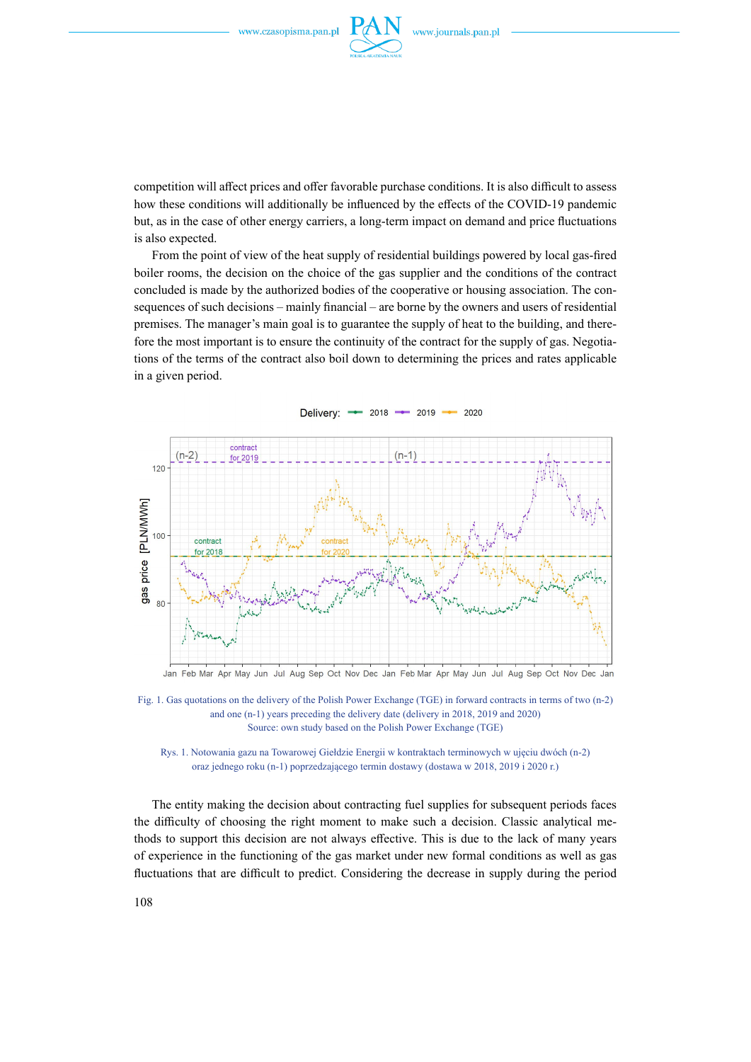

competition will affect prices and offer favorable purchase conditions. It is also difficult to assess how these conditions will additionally be influenced by the effects of the COVID-19 pandemic but, as in the case of other energy carriers, a long-term impact on demand and price fluctuations is also expected.

From the point of view of the heat supply of residential buildings powered by local gas-fired boiler rooms, the decision on the choice of the gas supplier and the conditions of the contract concluded is made by the authorized bodies of the cooperative or housing association. The consequences of such decisions – mainly financial – are borne by the owners and users of residential premises. The manager's main goal is to guarantee the supply of heat to the building, and therefore the most important is to ensure the continuity of the contract for the supply of gas. Negotiations of the terms of the contract also boil down to determining the prices and rates applicable in a given period.



Fig. 1. Gas quotations on the delivery of the Polish Power Exchange (TGE) in forward contracts in terms of two (n-2) and one (n-1) years preceding the delivery date (delivery in 2018, 2019 and 2020) Source: own study based on the Polish Power Exchange (TGE)



The entity making the decision about contracting fuel supplies for subsequent periods faces the difficulty of choosing the right moment to make such a decision. Classic analytical methods to support this decision are not always effective. This is due to the lack of many years of experience in the functioning of the gas market under new formal conditions as well as gas fluctuations that are difficult to predict. Considering the decrease in supply during the period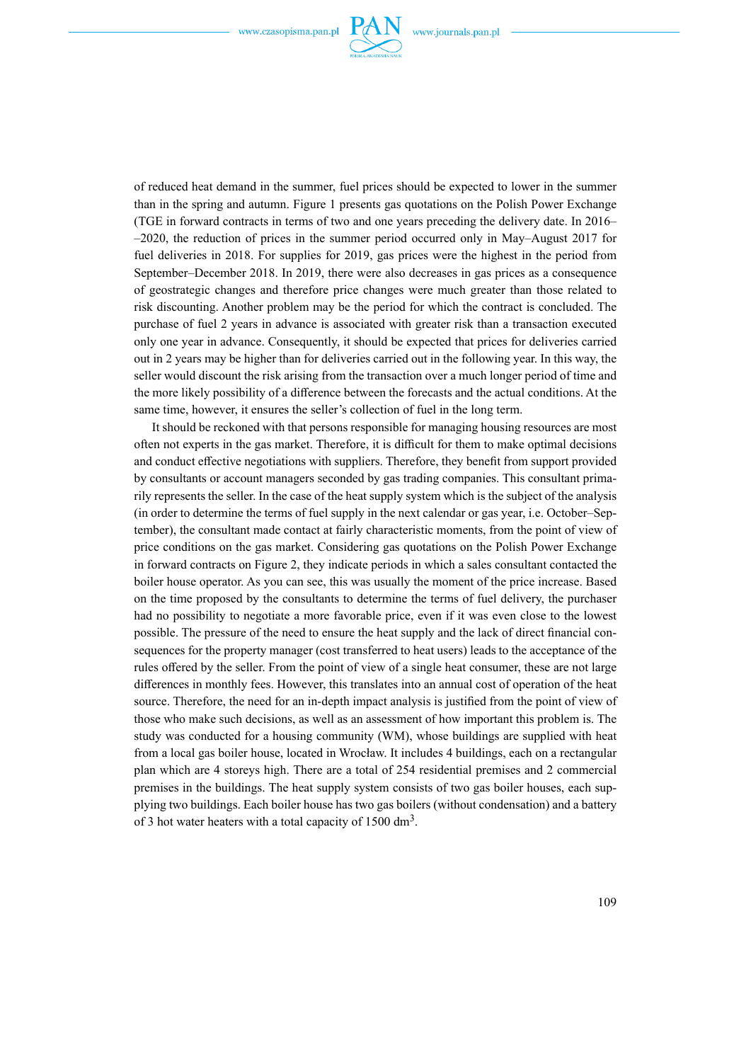

of reduced heat demand in the summer, fuel prices should be expected to lower in the summer than in the spring and autumn. Figure 1 presents gas quotations on the Polish Power Exchange (TGE in forward contracts in terms of two and one years preceding the delivery date. In 2016– –2020, the reduction of prices in the summer period occurred only in May–August 2017 for fuel deliveries in 2018. For supplies for 2019, gas prices were the highest in the period from September–December 2018. In 2019, there were also decreases in gas prices as a consequence of geostrategic changes and therefore price changes were much greater than those related to risk discounting. Another problem may be the period for which the contract is concluded. The purchase of fuel 2 years in advance is associated with greater risk than a transaction executed only one year in advance. Consequently, it should be expected that prices for deliveries carried out in 2 years may be higher than for deliveries carried out in the following year. In this way, the seller would discount the risk arising from the transaction over a much longer period of time and the more likely possibility of a difference between the forecasts and the actual conditions. At the same time, however, it ensures the seller's collection of fuel in the long term.

It should be reckoned with that persons responsible for managing housing resources are most often not experts in the gas market. Therefore, it is difficult for them to make optimal decisions and conduct effective negotiations with suppliers. Therefore, they benefit from support provided by consultants or account managers seconded by gas trading companies. This consultant primarily represents the seller. In the case of the heat supply system which is the subject of the analysis (in order to determine the terms of fuel supply in the next calendar or gas year, i.e. October–September), the consultant made contact at fairly characteristic moments, from the point of view of price conditions on the gas market. Considering gas quotations on the Polish Power Exchange in forward contracts on Figure 2, they indicate periods in which a sales consultant contacted the boiler house operator. As you can see, this was usually the moment of the price increase. Based on the time proposed by the consultants to determine the terms of fuel delivery, the purchaser had no possibility to negotiate a more favorable price, even if it was even close to the lowest possible. The pressure of the need to ensure the heat supply and the lack of direct financial consequences for the property manager (cost transferred to heat users) leads to the acceptance of the rules offered by the seller. From the point of view of a single heat consumer, these are not large differences in monthly fees. However, this translates into an annual cost of operation of the heat source. Therefore, the need for an in-depth impact analysis is justified from the point of view of those who make such decisions, as well as an assessment of how important this problem is. The study was conducted for a housing community (WM), whose buildings are supplied with heat from a local gas boiler house, located in Wrocław. It includes 4 buildings, each on a rectangular plan which are 4 storeys high. There are a total of 254 residential premises and 2 commercial premises in the buildings. The heat supply system consists of two gas boiler houses, each supplying two buildings. Each boiler house has two gas boilers (without condensation) and a battery of 3 hot water heaters with a total capacity of 1500 dm3.

109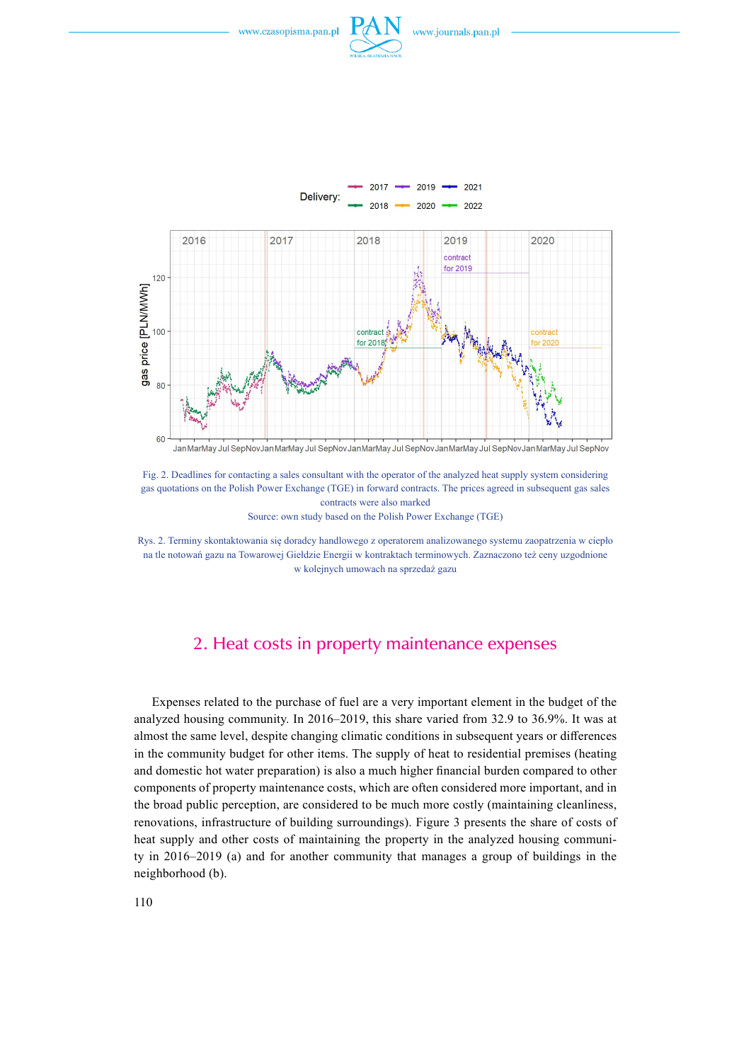



Fig. 2. Deadlines for contacting a sales consultant with the operator of the analyzed heat supply system considering gas quotations on the Polish Power Exchange (TGE) in forward contracts. The prices agreed in subsequent gas sales contracts were also marked Source: own study based on the Polish Power Exchange (TGE)

Rys. 2. Terminy skontaktowania się doradcy handlowego z operatorem analizowanego systemu zaopatrzenia w ciepło na tle notowań gazu na Towarowej Giełdzie Energii w kontraktach terminowych. Zaznaczono też ceny uzgodnione w kolejnych umowach na sprzedaż gazu

#### 2. Heat costs in property maintenance expenses

Expenses related to the purchase of fuel are a very important element in the budget of the analyzed housing community. In 2016–2019, this share varied from 32.9 to 36.9%. It was at almost the same level, despite changing climatic conditions in subsequent years or differences in the community budget for other items. The supply of heat to residential premises (heating and domestic hot water preparation) is also a much higher financial burden compared to other components of property maintenance costs, which are often considered more important, and in the broad public perception, are considered to be much more costly (maintaining cleanliness, renovations, infrastructure of building surroundings). Figure 3 presents the share of costs of heat supply and other costs of maintaining the property in the analyzed housing community in 2016–2019 (a) and for another community that manages a group of buildings in the neighborhood (b).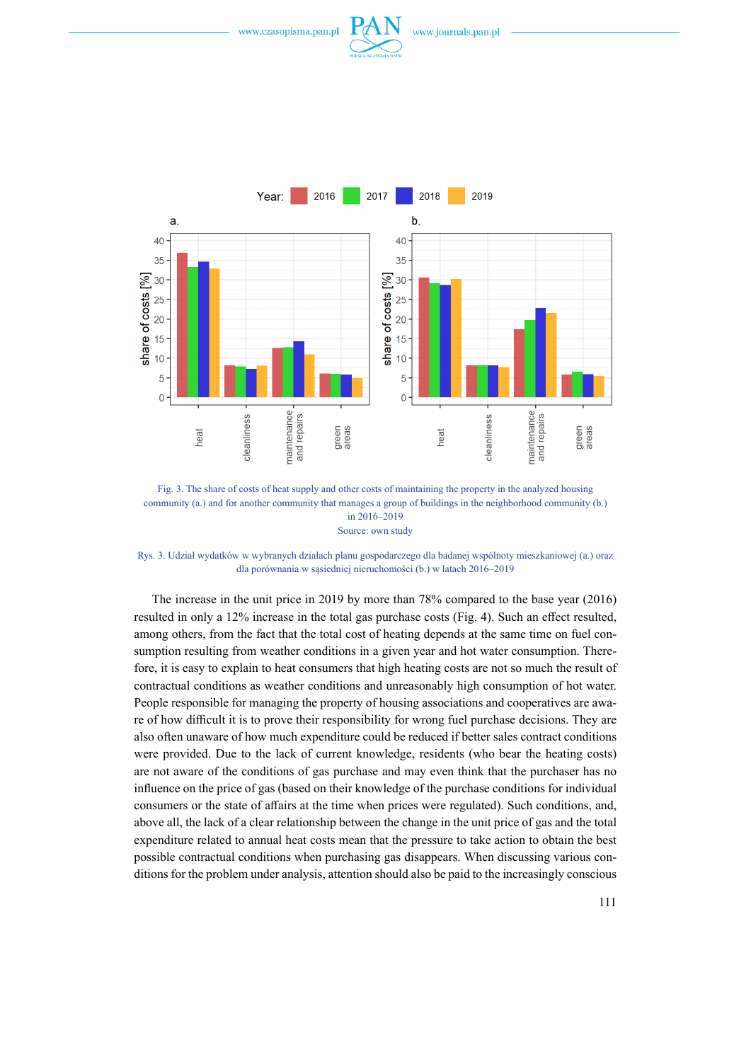

Fig. 3. The share of costs of heat supply and other costs of maintaining the property in the analyzed housing community (a.) and for another community that manages a group of buildings in the neighborhood community (b.) in 2016–2019

Source: own study

Rys. 3. Udział wydatków w wybranych działach planu gospodarczego dla badanej wspólnoty mieszkaniowej (a.) oraz dla porównania w sąsiedniej nieruchomości (b.) w latach 2016–2019

The increase in the unit price in 2019 by more than 78% compared to the base year (2016) resulted in only a 12% increase in the total gas purchase costs (Fig. 4). Such an effect resulted, among others, from the fact that the total cost of heating depends at the same time on fuel consumption resulting from weather conditions in a given year and hot water consumption. Therefore, it is easy to explain to heat consumers that high heating costs are not so much the result of contractual conditions as weather conditions and unreasonably high consumption of hot water. People responsible for managing the property of housing associations and cooperatives are aware of how difficult it is to prove their responsibility for wrong fuel purchase decisions. They are also often unaware of how much expenditure could be reduced if better sales contract conditions were provided. Due to the lack of current knowledge, residents (who bear the heating costs) are not aware of the conditions of gas purchase and may even think that the purchaser has no influence on the price of gas (based on their knowledge of the purchase conditions for individual consumers or the state of affairs at the time when prices were regulated). Such conditions, and, above all, the lack of a clear relationship between the change in the unit price of gas and the total expenditure related to annual heat costs mean that the pressure to take action to obtain the best possible contractual conditions when purchasing gas disappears. When discussing various conditions for the problem under analysis, attention should also be paid to the increasingly conscious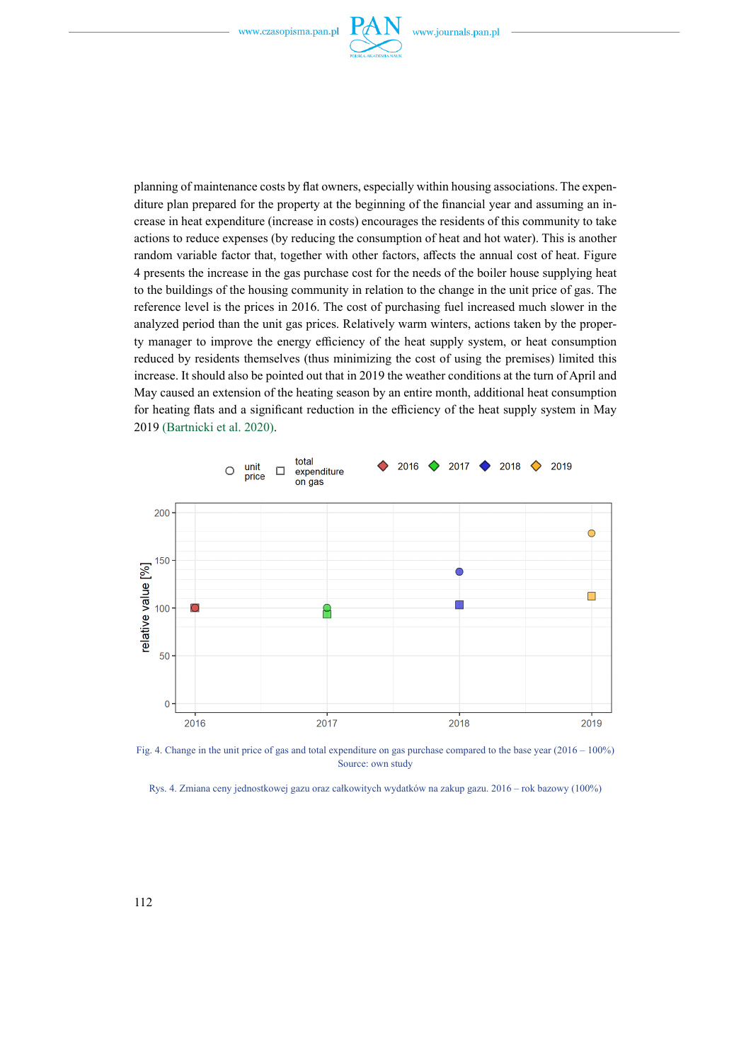

planning of maintenance costs by flat owners, especially within housing associations. The expenditure plan prepared for the property at the beginning of the financial year and assuming an increase in heat expenditure (increase in costs) encourages the residents of this community to take actions to reduce expenses (by reducing the consumption of heat and hot water). This is another random variable factor that, together with other factors, affects the annual cost of heat. Figure 4 presents the increase in the gas purchase cost for the needs of the boiler house supplying heat to the buildings of the housing community in relation to the change in the unit price of gas. The reference level is the prices in 2016. The cost of purchasing fuel increased much slower in the analyzed period than the unit gas prices. Relatively warm winters, actions taken by the property manager to improve the energy efficiency of the heat supply system, or heat consumption reduced by residents themselves (thus minimizing the cost of using the premises) limited this increase. It should also be pointed out that in 2019 the weather conditions at the turn of April and May caused an extension of the heating season by an entire month, additional heat consumption for heating flats and a significant reduction in the efficiency of the heat supply system in May 2019 (Bartnicki et al. 2020).



Fig. 4. Change in the unit price of gas and total expenditure on gas purchase compared to the base year (2016 – 100%) Source: own study

Rys. 4. Zmiana ceny jednostkowej gazu oraz całkowitych wydatków na zakup gazu. 2016 – rok bazowy (100%)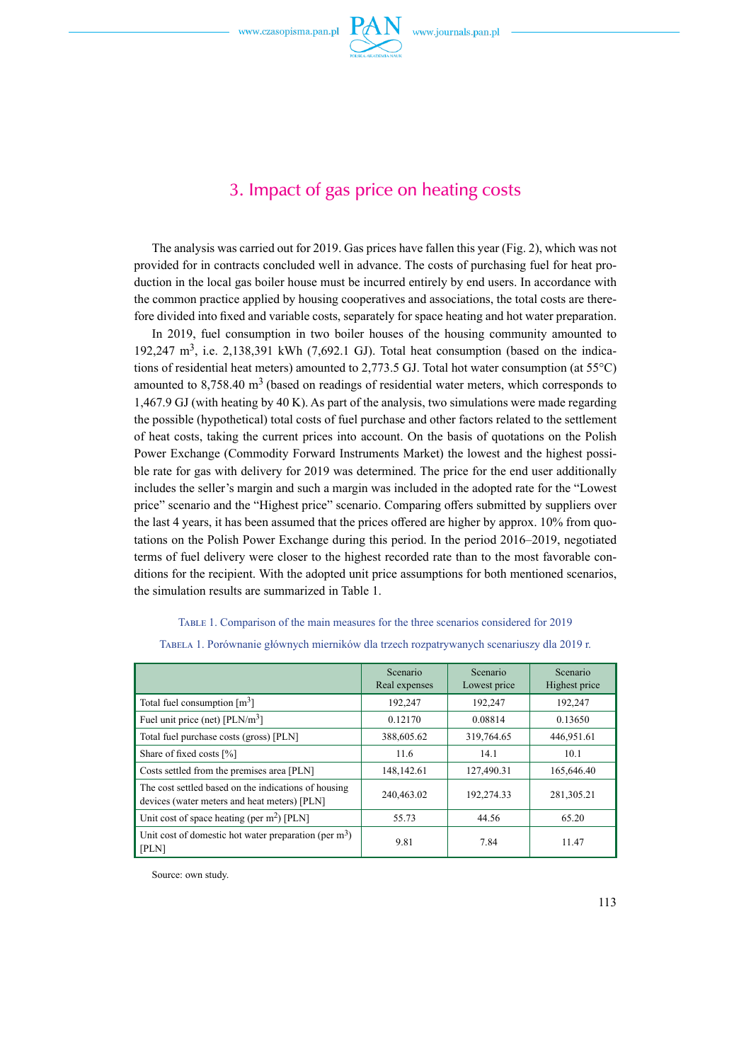

## 3. Impact of gas price on heating costs

The analysis was carried out for 2019. Gas prices have fallen this year (Fig. 2), which was not provided for in contracts concluded well in advance. The costs of purchasing fuel for heat production in the local gas boiler house must be incurred entirely by end users. In accordance with the common practice applied by housing cooperatives and associations, the total costs are therefore divided into fixed and variable costs, separately for space heating and hot water preparation.

In 2019, fuel consumption in two boiler houses of the housing community amounted to 192,247  $m^3$ , i.e. 2,138,391 kWh (7,692.1 GJ). Total heat consumption (based on the indications of residential heat meters) amounted to 2,773.5 GJ. Total hot water consumption (at 55°C) amounted to  $8,758.40 \text{ m}^3$  (based on readings of residential water meters, which corresponds to 1,467.9 GJ (with heating by 40 K). As part of the analysis, two simulations were made regarding the possible (hypothetical) total costs of fuel purchase and other factors related to the settlement of heat costs, taking the current prices into account. On the basis of quotations on the Polish Power Exchange (Commodity Forward Instruments Market) the lowest and the highest possible rate for gas with delivery for 2019 was determined. The price for the end user additionally includes the seller's margin and such a margin was included in the adopted rate for the "Lowest price" scenario and the "Highest price" scenario. Comparing offers submitted by suppliers over the last 4 years, it has been assumed that the prices offered are higher by approx. 10% from quotations on the Polish Power Exchange during this period. In the period 2016–2019, negotiated terms of fuel delivery were closer to the highest recorded rate than to the most favorable conditions for the recipient. With the adopted unit price assumptions for both mentioned scenarios, the simulation results are summarized in Table 1.

#### Table 1. Comparison of the main measures for the three scenarios considered for 2019

|                                                                                                      | Scenario<br>Real expenses | Scenario<br>Lowest price | Scenario<br>Highest price |
|------------------------------------------------------------------------------------------------------|---------------------------|--------------------------|---------------------------|
| Total fuel consumption $\lceil m^3 \rceil$                                                           | 192,247                   | 192,247                  | 192,247                   |
| Fuel unit price (net) $[PLN/m^3]$                                                                    | 0.12170                   | 0.08814                  | 0.13650                   |
| Total fuel purchase costs (gross) [PLN]                                                              | 388,605.62                | 319,764.65               | 446,951.61                |
| Share of fixed costs [%]                                                                             | 11.6                      | 14.1                     | 10.1                      |
| Costs settled from the premises area [PLN]                                                           | 148,142.61                | 127,490.31               | 165,646.40                |
| The cost settled based on the indications of housing<br>devices (water meters and heat meters) [PLN] | 240,463.02                | 192,274.33               | 281,305.21                |
| Unit cost of space heating (per $m2$ ) [PLN]                                                         | 55.73                     | 44.56                    | 65.20                     |
| Unit cost of domestic hot water preparation (per $m3$ )<br>[PLN]                                     | 9.81                      | 7.84                     | 11.47                     |

Tabela 1. Porównanie głównych mierników dla trzech rozpatrywanych scenariuszy dla 2019 r.

Source: own study.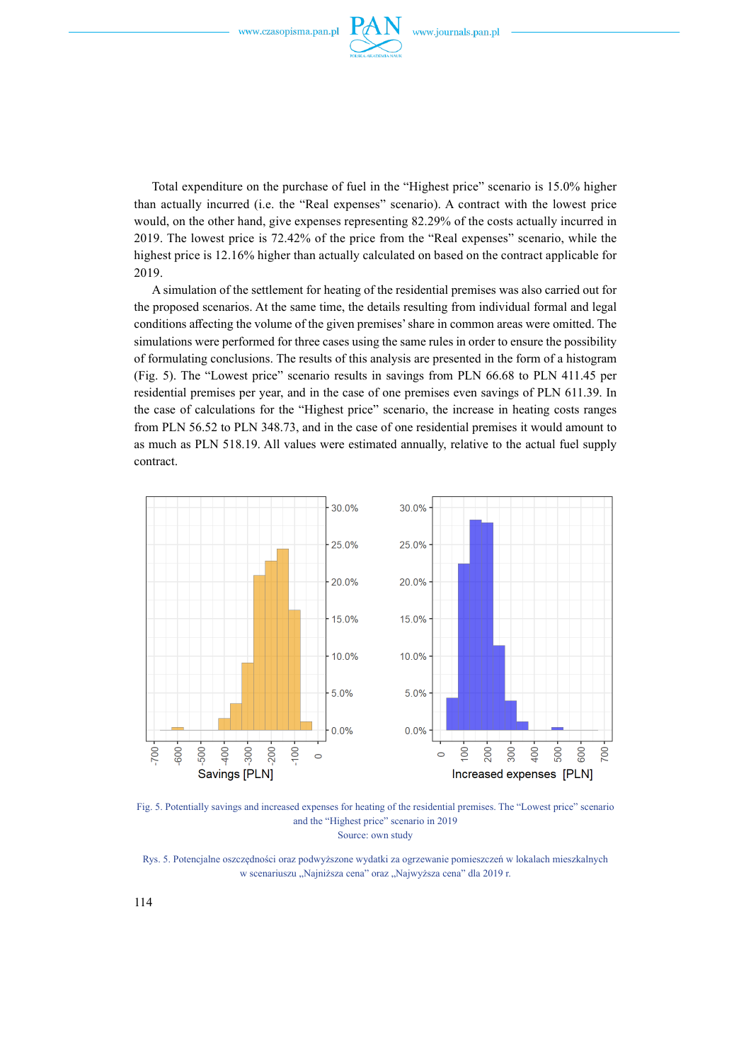

Total expenditure on the purchase of fuel in the "Highest price" scenario is 15.0% higher than actually incurred (i.e. the "Real expenses" scenario). A contract with the lowest price would, on the other hand, give expenses representing 82.29% of the costs actually incurred in 2019. The lowest price is 72.42% of the price from the "Real expenses" scenario, while the highest price is 12.16% higher than actually calculated on based on the contract applicable for 2019.

A simulation of the settlement for heating of the residential premises was also carried out for the proposed scenarios. At the same time, the details resulting from individual formal and legal conditions affecting the volume of the given premises' share in common areas were omitted. The simulations were performed for three cases using the same rules in order to ensure the possibility of formulating conclusions. The results of this analysis are presented in the form of a histogram (Fig. 5). The "Lowest price" scenario results in savings from PLN 66.68 to PLN 411.45 per residential premises per year, and in the case of one premises even savings of PLN 611.39. In the case of calculations for the "Highest price" scenario, the increase in heating costs ranges from PLN 56.52 to PLN 348.73, and in the case of one residential premises it would amount to as much as PLN 518.19. All values were estimated annually, relative to the actual fuel supply contract.



Fig. 5. Potentially savings and increased expenses for heating of the residential premises. The "Lowest price" scenario and the "Highest price" scenario in 2019 Source: own study

Rys. 5. Potencjalne oszczędności oraz podwyższone wydatki za ogrzewanie pomieszczeń w lokalach mieszkalnych w scenariuszu "Najniższa cena" oraz "Najwyższa cena" dla 2019 r.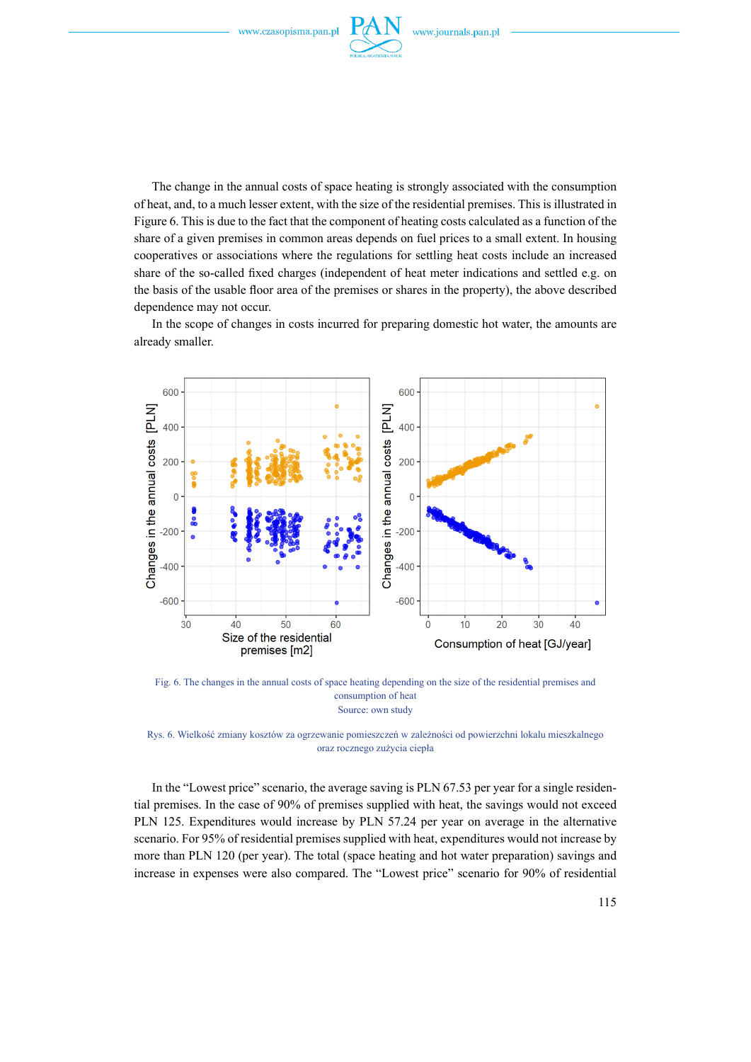

The change in the annual costs of space heating is strongly associated with the consumption of heat, and, to a much lesser extent, with the size of the residential premises. This is illustrated in Figure 6. This is due to the fact that the component of heating costs calculated as a function of the share of a given premises in common areas depends on fuel prices to a small extent. In housing cooperatives or associations where the regulations for settling heat costs include an increased share of the so-called fixed charges (independent of heat meter indications and settled e.g. on the basis of the usable floor area of the premises or shares in the property), the above described dependence may not occur.

In the scope of changes in costs incurred for preparing domestic hot water, the amounts are already smaller.



Fig. 6. The changes in the annual costs of space heating depending on the size of the residential premises and consumption of heat Source: own study

Rys. 6. Wielkość zmiany kosztów za ogrzewanie pomieszczeń w zależności od powierzchni lokalu mieszkalnego oraz rocznego zużycia ciepła

In the "Lowest price" scenario, the average saving is PLN 67.53 per year for a single residential premises. In the case of 90% of premises supplied with heat, the savings would not exceed PLN 125. Expenditures would increase by PLN 57.24 per year on average in the alternative scenario. For 95% of residential premises supplied with heat, expenditures would not increase by more than PLN 120 (per year). The total (space heating and hot water preparation) savings and increase in expenses were also compared. The "Lowest price" scenario for 90% of residential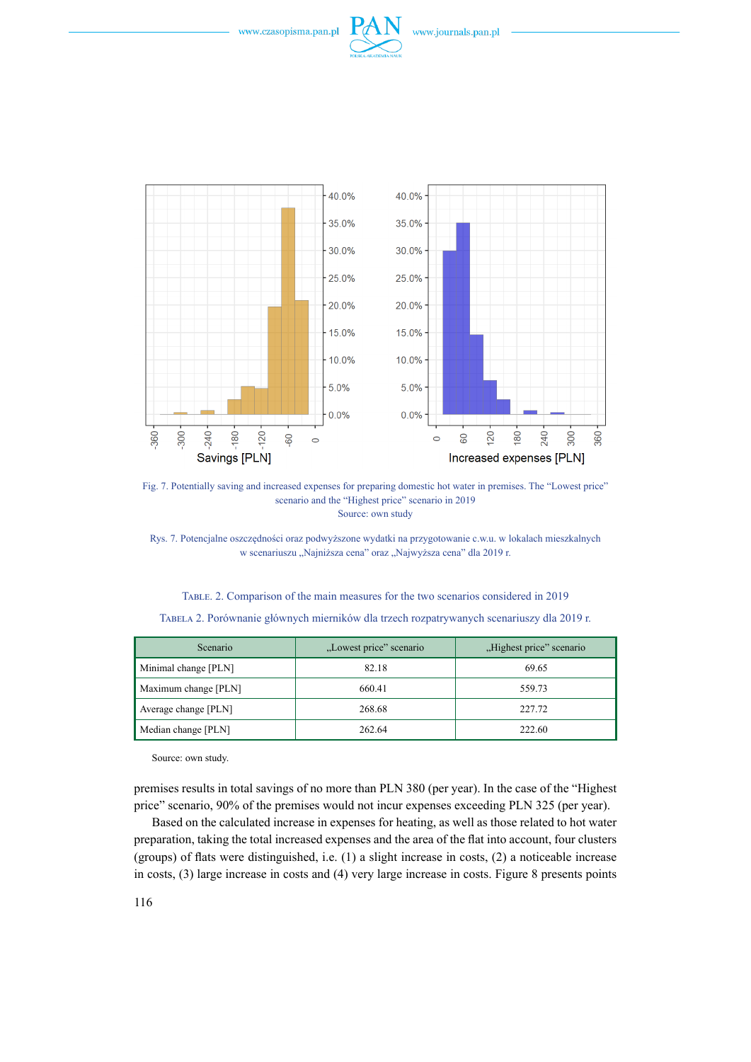





Fig. 7. Potentially saving and increased expenses for preparing domestic hot water in premises. The "Lowest price" scenario and the "Highest price" scenario in 2019 Source: own study

Rys. 7. Potencjalne oszczędności oraz podwyższone wydatki na przygotowanie c.w.u. w lokalach mieszkalnych w scenariuszu "Najniższa cena" oraz "Najwyższa cena" dla 2019 r.

| Scenario             | "Lowest price" scenario | "Highest price" scenario |
|----------------------|-------------------------|--------------------------|
| Minimal change [PLN] | 82.18                   | 69.65                    |
|                      |                         |                          |
| Maximum change [PLN] | 660.41                  | 559.73                   |
| Average change [PLN] | 268.68                  | 227.72                   |
| Median change [PLN]  | 262.64                  | 222.60                   |

Table. 2. Comparison of the main measures for the two scenarios considered in 2019 Tabela 2. Porównanie głównych mierników dla trzech rozpatrywanych scenariuszy dla 2019 r.

Source: own study.

premises results in total savings of no more than PLN 380 (per year). In the case of the "Highest price" scenario, 90% of the premises would not incur expenses exceeding PLN 325 (per year).

Based on the calculated increase in expenses for heating, as well as those related to hot water preparation, taking the total increased expenses and the area of the flat into account, four clusters (groups) of flats were distinguished, i.e. (1) a slight increase in costs, (2) a noticeable increase in costs, (3) large increase in costs and (4) very large increase in costs. Figure 8 presents points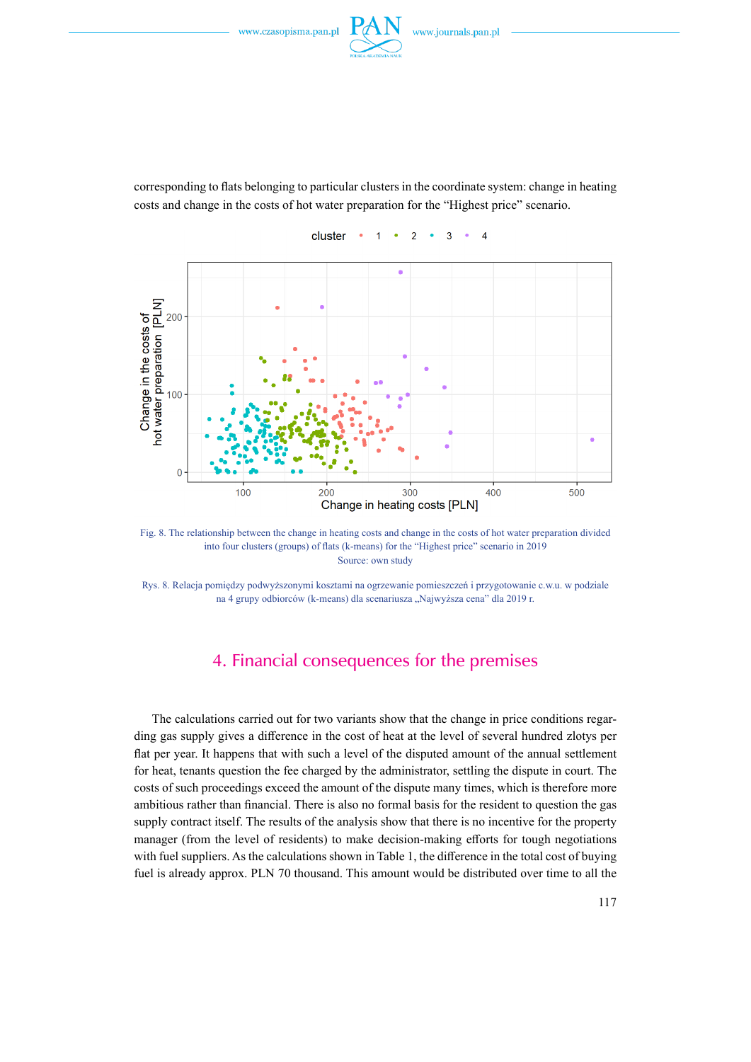

corresponding to flats belonging to particular clusters in the coordinate system: change in heating costs and change in the costs of hot water preparation for the "Highest price" scenario.



Fig. 8. The relationship between the change in heating costs and change in the costs of hot water preparation divided into four clusters (groups) of flats (k-means) for the "Highest price" scenario in 2019 Source: own study

Rys. 8. Relacja pomiędzy podwyższonymi kosztami na ogrzewanie pomieszczeń i przygotowanie c.w.u. w podziale na 4 grupy odbiorców (k-means) dla scenariusza "Najwyższa cena" dla 2019 r.

## 4. Financial consequences for the premises

The calculations carried out for two variants show that the change in price conditions regarding gas supply gives a difference in the cost of heat at the level of several hundred zlotys per flat per year. It happens that with such a level of the disputed amount of the annual settlement for heat, tenants question the fee charged by the administrator, settling the dispute in court. The costs of such proceedings exceed the amount of the dispute many times, which is therefore more ambitious rather than financial. There is also no formal basis for the resident to question the gas supply contract itself. The results of the analysis show that there is no incentive for the property manager (from the level of residents) to make decision-making efforts for tough negotiations with fuel suppliers. As the calculations shown in Table 1, the difference in the total cost of buying fuel is already approx. PLN 70 thousand. This amount would be distributed over time to all the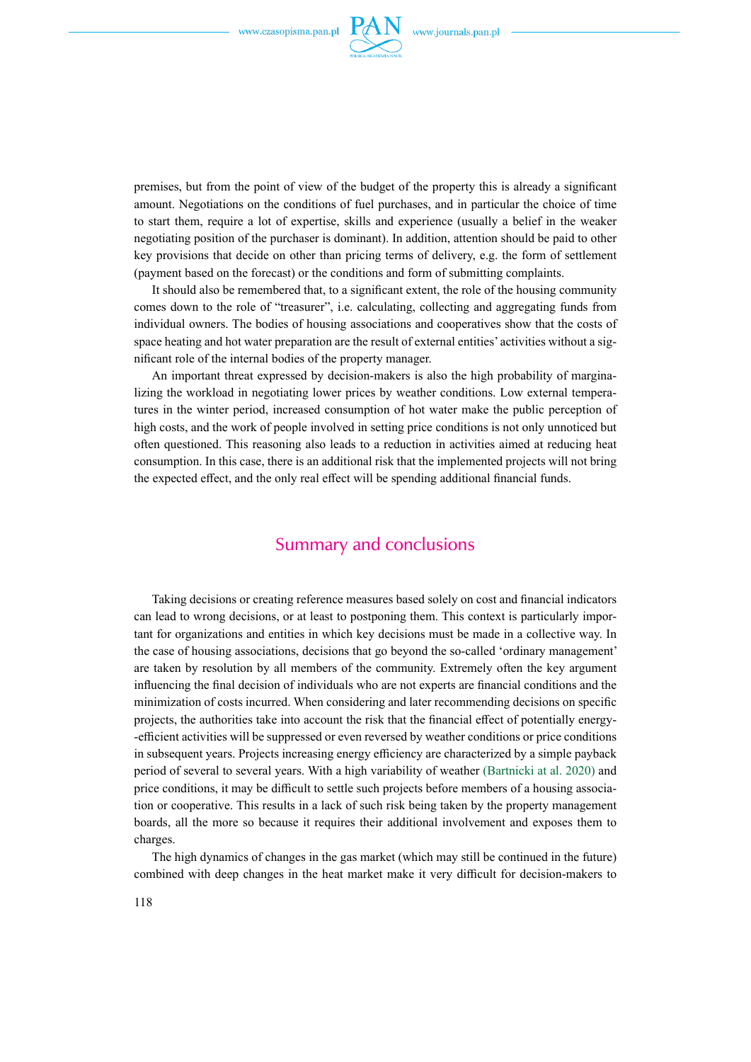

premises, but from the point of view of the budget of the property this is already a significant amount. Negotiations on the conditions of fuel purchases, and in particular the choice of time to start them, require a lot of expertise, skills and experience (usually a belief in the weaker negotiating position of the purchaser is dominant). In addition, attention should be paid to other key provisions that decide on other than pricing terms of delivery, e.g. the form of settlement (payment based on the forecast) or the conditions and form of submitting complaints.

It should also be remembered that, to a significant extent, the role of the housing community comes down to the role of "treasurer", i.e. calculating, collecting and aggregating funds from individual owners. The bodies of housing associations and cooperatives show that the costs of space heating and hot water preparation are the result of external entities' activities without a significant role of the internal bodies of the property manager.

An important threat expressed by decision-makers is also the high probability of marginalizing the workload in negotiating lower prices by weather conditions. Low external temperatures in the winter period, increased consumption of hot water make the public perception of high costs, and the work of people involved in setting price conditions is not only unnoticed but often questioned. This reasoning also leads to a reduction in activities aimed at reducing heat consumption. In this case, there is an additional risk that the implemented projects will not bring the expected effect, and the only real effect will be spending additional financial funds.

### Summary and conclusions

Taking decisions or creating reference measures based solely on cost and financial indicators can lead to wrong decisions, or at least to postponing them. This context is particularly important for organizations and entities in which key decisions must be made in a collective way. In the case of housing associations, decisions that go beyond the so-called 'ordinary management' are taken by resolution by all members of the community. Extremely often the key argument influencing the final decision of individuals who are not experts are financial conditions and the minimization of costs incurred. When considering and later recommending decisions on specific projects, the authorities take into account the risk that the financial effect of potentially energy- -efficient activities will be suppressed or even reversed by weather conditions or price conditions in subsequent years. Projects increasing energy efficiency are characterized by a simple payback period of several to several years. With a high variability of weather (Bartnicki at al. 2020) and price conditions, it may be difficult to settle such projects before members of a housing association or cooperative. This results in a lack of such risk being taken by the property management boards, all the more so because it requires their additional involvement and exposes them to charges.

The high dynamics of changes in the gas market (which may still be continued in the future) combined with deep changes in the heat market make it very difficult for decision-makers to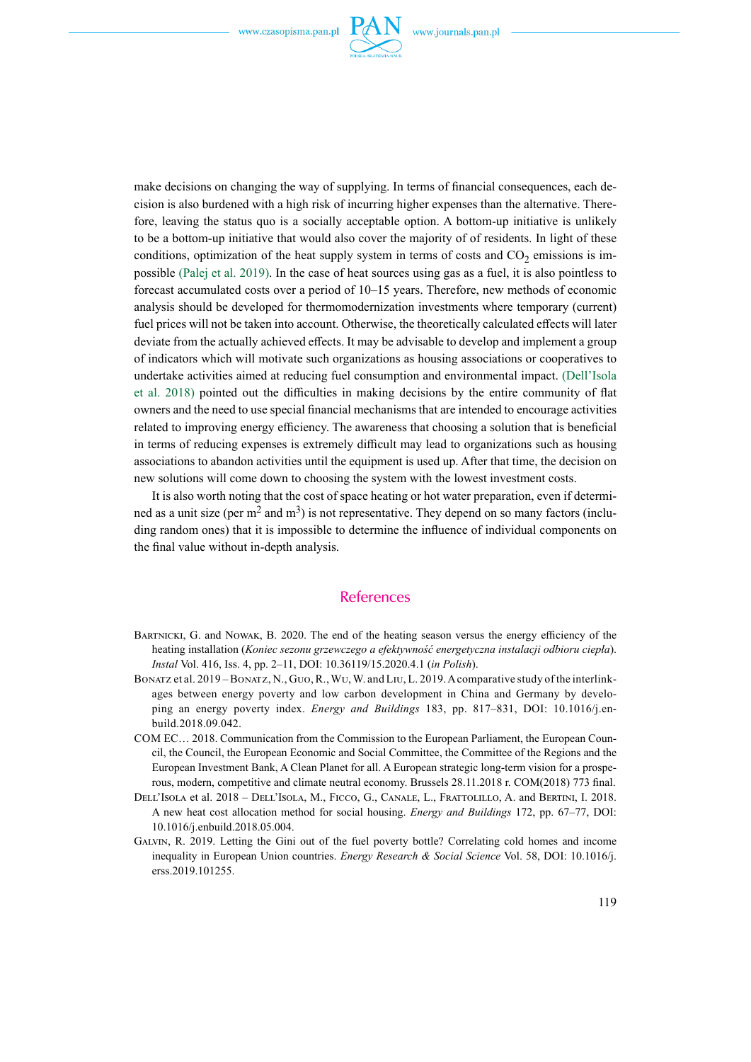

make decisions on changing the way of supplying. In terms of financial consequences, each decision is also burdened with a high risk of incurring higher expenses than the alternative. Therefore, leaving the status quo is a socially acceptable option. A bottom-up initiative is unlikely to be a bottom-up initiative that would also cover the majority of of residents. In light of these conditions, optimization of the heat supply system in terms of costs and  $CO<sub>2</sub>$  emissions is impossible (Palej et al. 2019). In the case of heat sources using gas as a fuel, it is also pointless to forecast accumulated costs over a period of 10–15 years. Therefore, new methods of economic analysis should be developed for thermomodernization investments where temporary (current) fuel prices will not be taken into account. Otherwise, the theoretically calculated effects will later deviate from the actually achieved effects. It may be advisable to develop and implement a group of indicators which will motivate such organizations as housing associations or cooperatives to undertake activities aimed at reducing fuel consumption and environmental impact. (Dell'Isola et al. 2018) pointed out the difficulties in making decisions by the entire community of flat owners and the need to use special financial mechanisms that are intended to encourage activities related to improving energy efficiency. The awareness that choosing a solution that is beneficial in terms of reducing expenses is extremely difficult may lead to organizations such as housing associations to abandon activities until the equipment is used up. After that time, the decision on new solutions will come down to choosing the system with the lowest investment costs.

It is also worth noting that the cost of space heating or hot water preparation, even if determined as a unit size (per  $m^2$  and  $m^3$ ) is not representative. They depend on so many factors (including random ones) that it is impossible to determine the influence of individual components on the final value without in-depth analysis.

#### References

- BARTNICKI, G. and NOWAK, B. 2020. The end of the heating season versus the energy efficiency of the heating installation (*Koniec sezonu grzewczego a efektywność energetyczna instalacji odbioru ciepła*). *Instal* Vol. 416, Iss. 4, pp. 2–11, DOI: 10.36119/15.2020.4.1 (*in Polish*).
- Bonatz et al. 2019 Bonatz, N., Guo, R., Wu, W. and Liu, L. 2019. Acomparative study of the interlinkages between energy poverty and low carbon development in China and Germany by developing an energy poverty index. *Energy and Buildings* 183, pp. 817–831, DOI: 10.1016/j.enbuild.2018.09.042.
- Com EC… 2018. Communication from the Commission to the European Parliament, the European Council, the Council, the European Economic and Social Committee, the Committee of the Regions and the European Investment Bank, A Clean Planet for all. A European strategic long-term vision for a prosperous, modern, competitive and climate neutral economy. Brussels 28.11.2018 r. COM(2018) 773 final.
- Dell'Isola et al. 2018 Dell'Isola, M., Ficco, G., Canale, L., Frattolillo, A. and Bertini, I. 2018. A new heat cost allocation method for social housing. *Energy and Buildings* 172, pp. 67–77, DOI: 10.1016/j.enbuild.2018.05.004.
- Galvin, R. 2019. Letting the Gini out of the fuel poverty bottle? Correlating cold homes and income inequality in European Union countries. *Energy Research & Social Science* Vol. 58, DOI: 10.1016/j. erss.2019.101255.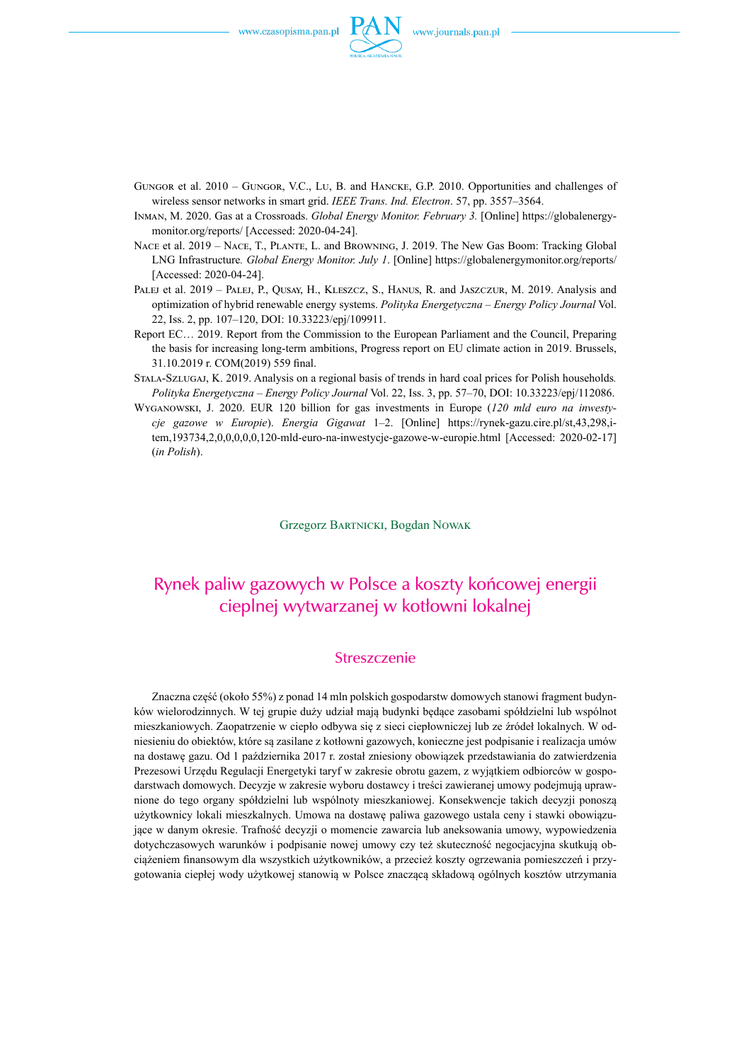

- Gungor et al. 2010 Gungor, V.C., Lu, B. and Hancke, G.P. 2010. Opportunities and challenges of wireless sensor networks in smart grid. *IEEE Trans. Ind. Electron*. 57, pp. 3557–3564.
- Inman, M. 2020. Gas at a Crossroads. *Global Energy Monitor. February 3.* [Online] https://globalenergymonitor.org/reports/ [Accessed: 2020-04-24].
- NACE et al. 2019 NACE, T., PLANTE, L. and BROWNING, J. 2019. The New Gas Boom: Tracking Global LNG Infrastructure*. Global Energy Monitor. July 1*. [Online] https://globalenergymonitor.org/reports/ [Accessed: 2020-04-24].
- PALEJ et al. 2019 PALEJ, P., QUSAY, H., KLESZCZ, S., HANUS, R. and JASZCZUR, M. 2019. Analysis and optimization of hybrid renewable energy systems. *Polityka Energetyczna – Energy Policy Journal* Vol. 22, Iss. 2, pp. 107–120, DOI: 10.33223/epj/109911.
- Report EC… 2019. Report from the Commission to the European Parliament and the Council, Preparing the basis for increasing long-term ambitions, Progress report on EU climate action in 2019. Brussels, 31.10.2019 r. COM(2019) 559 final.
- Stala-Szlugaj, K. 2019. Analysis on a regional basis of trends in hard coal prices for Polish households*. Polityka Energetyczna – Energy Policy Journal* Vol. 22, Iss. 3, pp. 57–70, DOI: 10.33223/epj/112086.
- Wyganowski, J. 2020. EUR 120 billion for gas investments in Europe (*120 mld euro na inwestycje gazowe w Europie*). *Energia Gigawat* 1–2. [Online] https://rynek-gazu.cire.pl/st,43,298,item,193734,2,0,0,0,0,0,120-mld-euro-na-inwestycje-gazowe-w-europie.html [Accessed: 2020-02-17] (*in Polish*).

Grzegorz Bartnicki, Bogdan Nowak

## Rynek paliw gazowych w Polsce a koszty końcowej energii cieplnej wytwarzanej w kotłowni lokalnej

#### Streszczenie

Znaczna część (około 55%) z ponad 14 mln polskich gospodarstw domowych stanowi fragment budynków wielorodzinnych. W tej grupie duży udział mają budynki będące zasobami spółdzielni lub wspólnot mieszkaniowych. Zaopatrzenie w ciepło odbywa się z sieci ciepłowniczej lub ze źródeł lokalnych. W odniesieniu do obiektów, które są zasilane z kotłowni gazowych, konieczne jest podpisanie i realizacja umów na dostawę gazu. Od 1 października 2017 r. został zniesiony obowiązek przedstawiania do zatwierdzenia Prezesowi Urzędu Regulacji Energetyki taryf w zakresie obrotu gazem, z wyjątkiem odbiorców w gospodarstwach domowych. Decyzje w zakresie wyboru dostawcy i treści zawieranej umowy podejmują uprawnione do tego organy spółdzielni lub wspólnoty mieszkaniowej. Konsekwencje takich decyzji ponoszą użytkownicy lokali mieszkalnych. Umowa na dostawę paliwa gazowego ustala ceny i stawki obowiązujące w danym okresie. Trafność decyzji o momencie zawarcia lub aneksowania umowy, wypowiedzenia dotychczasowych warunków i podpisanie nowej umowy czy też skuteczność negocjacyjna skutkują obciążeniem finansowym dla wszystkich użytkowników, a przecież koszty ogrzewania pomieszczeń i przygotowania ciepłej wody użytkowej stanowią w Polsce znaczącą składową ogólnych kosztów utrzymania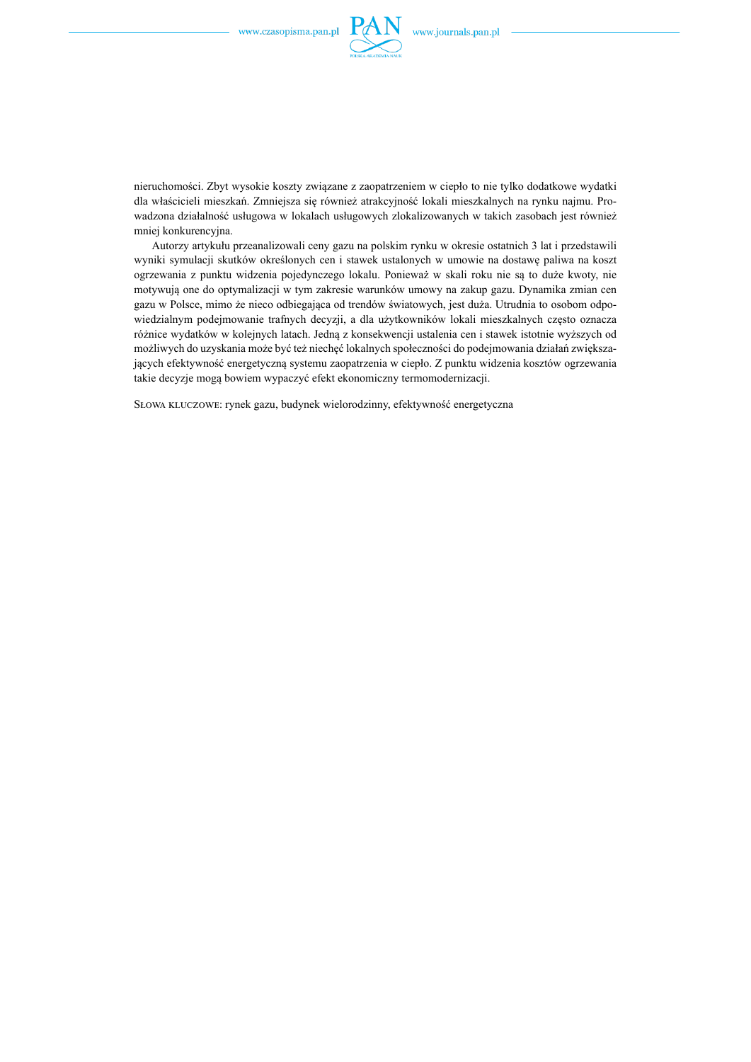

nieruchomości. Zbyt wysokie koszty związane z zaopatrzeniem w ciepło to nie tylko dodatkowe wydatki dla właścicieli mieszkań. Zmniejsza się również atrakcyjność lokali mieszkalnych na rynku najmu. Prowadzona działalność usługowa w lokalach usługowych zlokalizowanych w takich zasobach jest również mniej konkurencyjna.

Autorzy artykułu przeanalizowali ceny gazu na polskim rynku w okresie ostatnich 3 lat i przedstawili wyniki symulacji skutków określonych cen i stawek ustalonych w umowie na dostawę paliwa na koszt ogrzewania z punktu widzenia pojedynczego lokalu. Ponieważ w skali roku nie są to duże kwoty, nie motywują one do optymalizacji w tym zakresie warunków umowy na zakup gazu. Dynamika zmian cen gazu w Polsce, mimo że nieco odbiegająca od trendów światowych, jest duża. Utrudnia to osobom odpowiedzialnym podejmowanie trafnych decyzji, a dla użytkowników lokali mieszkalnych często oznacza różnice wydatków w kolejnych latach. Jedną z konsekwencji ustalenia cen i stawek istotnie wyższych od możliwych do uzyskania może być też niechęć lokalnych społeczności do podejmowania działań zwiększających efektywność energetyczną systemu zaopatrzenia w ciepło. Z punktu widzenia kosztów ogrzewania takie decyzje mogą bowiem wypaczyć efekt ekonomiczny termomodernizacji.

Słowa kluczowe: rynek gazu, budynek wielorodzinny, efektywność energetyczna